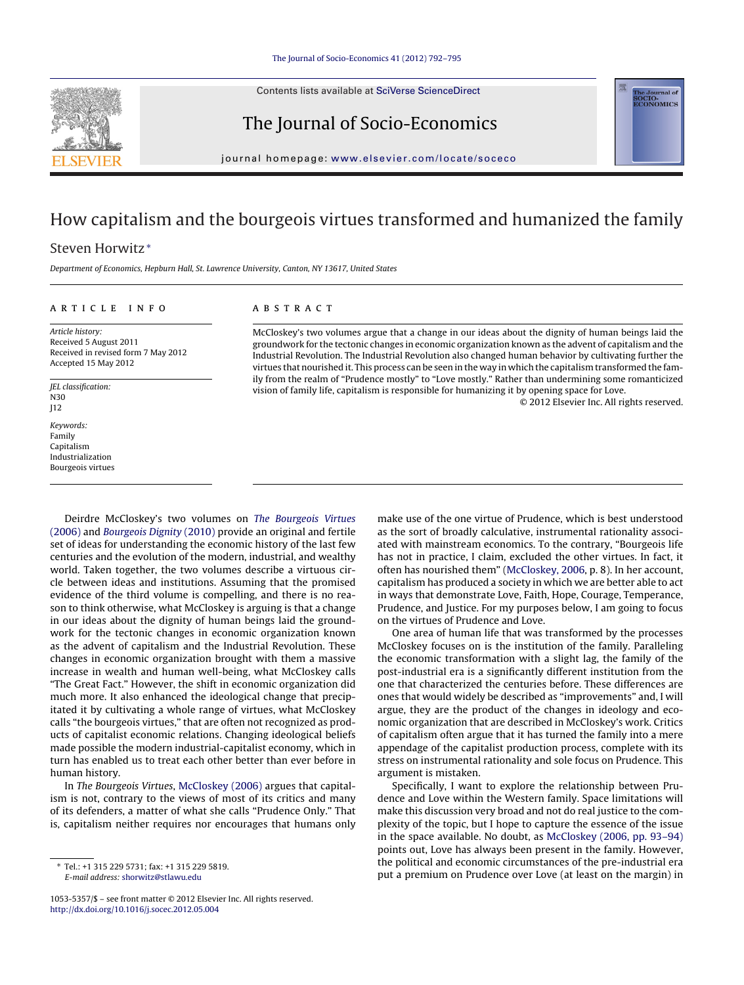Contents lists available at SciVerse [ScienceDirect](http://www.sciencedirect.com/science/journal/10535357)





jour nal homepage: [www.elsevier.com/locate/soceco](http://www.elsevier.com/locate/soceco)

# How capitalism and the bourgeois virtues transformed and humanized the family

## Steven Horwitz <sup>∗</sup>

Department of Economics, Hepburn Hall, St. Lawrence University, Canton, NY 13617, United States

#### a r t i c l e i n f o

Article history: Received 5 August 2011 Received in revised form 7 May 2012 Accepted 15 May 2012

JEL classification: N30 J12

Keywords: Family Capitalism Industrialization Bourgeois virtues

## A B S T R A C T

McCloskey's two volumes argue that a change in our ideas about the dignity of human beings laid the groundwork for the tectonic changes in economic organization known as the advent of capitalism and the Industrial Revolution. The Industrial Revolution also changed human behavior by cultivating further the virtues that nourished it. This process can be seen in the way in which the capitalism transformed the family from the realm of "Prudence mostly" to "Love mostly." Rather than undermining some romanticized vision of family life, capitalism is responsible for humanizing it by opening space for Love.

© 2012 Elsevier Inc. All rights reserved.

OCIO-<br>CONOMICS

Deirdre McCloskey's two volumes on The [Bourgeois](#page--1-0) [Virtues](#page--1-0) [\(2006\)](#page--1-0) and [Bourgeois](#page--1-0) [Dignity](#page--1-0) [\(2010\)](#page--1-0) provide an original and fertile set of ideas for understanding the economic history of the last few centuries and the evolution of the modern, industrial, and wealthy world. Taken together, the two volumes describe a virtuous circle between ideas and institutions. Assuming that the promised evidence of the third volume is compelling, and there is no reason to think otherwise, what McCloskey is arguing is that a change in our ideas about the dignity of human beings laid the groundwork for the tectonic changes in economic organization known as the advent of capitalism and the Industrial Revolution. These changes in economic organization brought with them a massive increase in wealth and human well-being, what McCloskey calls "The Great Fact." However, the shift in economic organization did much more. It also enhanced the ideological change that precipitated it by cultivating a whole range of virtues, what McCloskey calls "the bourgeois virtues," that are often not recognized as products of capitalist economic relations. Changing ideological beliefs made possible the modern industrial-capitalist economy, which in turn has enabled us to treat each other better than ever before in human history.

In The Bourgeois Virtues, [McCloskey](#page--1-0) [\(2006\)](#page--1-0) argues that capitalism is not, contrary to the views of most of its critics and many of its defenders, a matter of what she calls "Prudence Only." That is, capitalism neither requires nor encourages that humans only

make use of the one virtue of Prudence, which is best understood as the sort of broadly calculative, instrumental rationality associated with mainstream economics. To the contrary, "Bourgeois life has not in practice, I claim, excluded the other virtues. In fact, it often has nourished them" ([McCloskey,](#page--1-0) [2006,](#page--1-0) p. 8). In her account, capitalism has produced a society in which we are better able to act in ways that demonstrate Love, Faith, Hope, Courage, Temperance, Prudence, and Justice. For my purposes below, I am going to focus on the virtues of Prudence and Love.

One area of human life that was transformed by the processes McCloskey focuses on is the institution of the family. Paralleling the economic transformation with a slight lag, the family of the post-industrial era is a significantly different institution from the one that characterized the centuries before. These differences are ones that would widely be described as "improvements" and, I will argue, they are the product of the changes in ideology and economic organization that are described in McCloskey's work. Critics of capitalism often argue that it has turned the family into a mere appendage of the capitalist production process, complete with its stress on instrumental rationality and sole focus on Prudence. This argument is mistaken.

Specifically, I want to explore the relationship between Prudence and Love within the Western family. Space limitations will make this discussion very broad and not do real justice to the complexity of the topic, but I hope to capture the essence of the issue in the space available. No doubt, as [McCloskey](#page--1-0) [\(2006,](#page--1-0) [pp.](#page--1-0) [93–94\)](#page--1-0) points out, Love has always been present in the family. However, the political and economic circumstances of the pre-industrial era put a premium on Prudence over Love (at least on the margin) in

<sup>∗</sup> Tel.: +1 315 229 5731; fax: +1 315 229 5819. E-mail address: [shorwitz@stlawu.edu](mailto:shorwitz@stlawu.edu)

<sup>1053-5357/\$</sup> – see front matter © 2012 Elsevier Inc. All rights reserved. [http://dx.doi.org/10.1016/j.socec.2012.05.004](dx.doi.org/10.1016/j.socec.2012.05.004)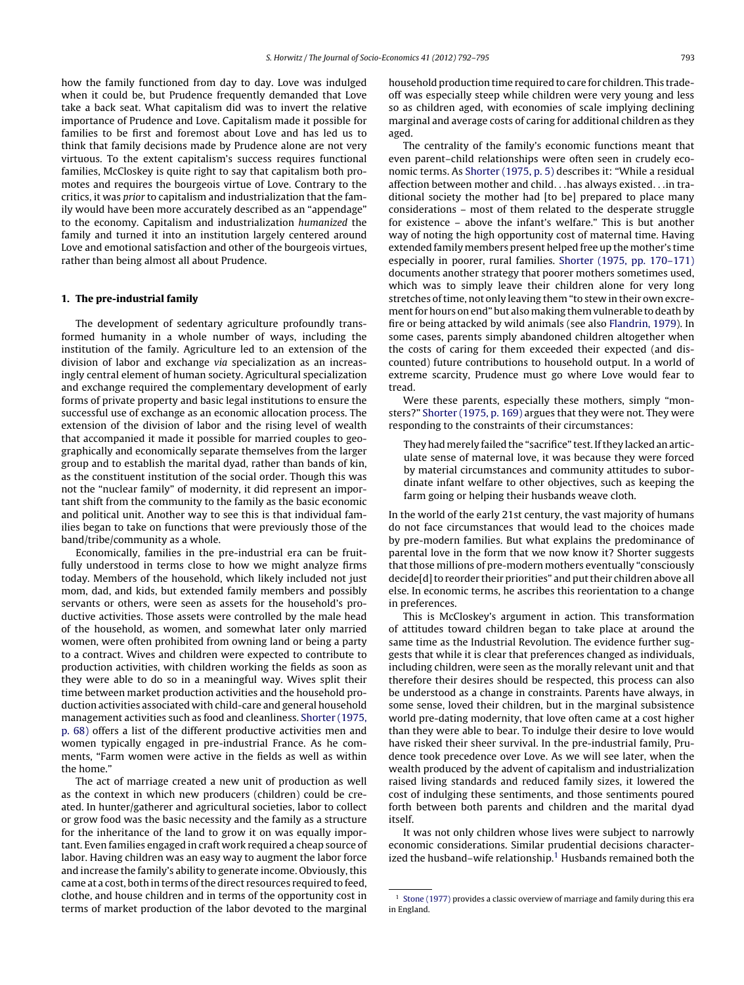how the family functioned from day to day. Love was indulged when it could be, but Prudence frequently demanded that Love take a back seat. What capitalism did was to invert the relative importance of Prudence and Love. Capitalism made it possible for families to be first and foremost about Love and has led us to think that family decisions made by Prudence alone are not very virtuous. To the extent capitalism's success requires functional families, McCloskey is quite right to say that capitalism both promotes and requires the bourgeois virtue of Love. Contrary to the critics, it was prior to capitalism and industrialization that the family would have been more accurately described as an "appendage" to the economy. Capitalism and industrialization humanized the family and turned it into an institution largely centered around Love and emotional satisfaction and other of the bourgeois virtues, rather than being almost all about Prudence.

#### **1. The pre-industrial family**

The development of sedentary agriculture profoundly transformed humanity in a whole number of ways, including the institution of the family. Agriculture led to an extension of the division of labor and exchange via specialization as an increasingly central element of human society. Agricultural specialization and exchange required the complementary development of early forms of private property and basic legal institutions to ensure the successful use of exchange as an economic allocation process. The extension of the division of labor and the rising level of wealth that accompanied it made it possible for married couples to geographically and economically separate themselves from the larger group and to establish the marital dyad, rather than bands of kin, as the constituent institution of the social order. Though this was not the "nuclear family" of modernity, it did represent an important shift from the community to the family as the basic economic and political unit. Another way to see this is that individual families began to take on functions that were previously those of the band/tribe/community as a whole.

Economically, families in the pre-industrial era can be fruitfully understood in terms close to how we might analyze firms today. Members of the household, which likely included not just mom, dad, and kids, but extended family members and possibly servants or others, were seen as assets for the household's productive activities. Those assets were controlled by the male head of the household, as women, and somewhat later only married women, were often prohibited from owning land or being a party to a contract. Wives and children were expected to contribute to production activities, with children working the fields as soon as they were able to do so in a meaningful way. Wives split their time between market production activities and the household production activities associated with child-care and general household management activities such as food and cleanliness. [Shorter](#page--1-0) [\(1975,](#page--1-0) [p.](#page--1-0) [68\)](#page--1-0) offers a list of the different productive activities men and women typically engaged in pre-industrial France. As he comments, "Farm women were active in the fields as well as within the home."

The act of marriage created a new unit of production as well as the context in which new producers (children) could be created. In hunter/gatherer and agricultural societies, labor to collect or grow food was the basic necessity and the family as a structure for the inheritance of the land to grow it on was equally important. Even families engaged in craft work required a cheap source of labor. Having children was an easy way to augment the labor force and increase the family's ability to generate income. Obviously, this came at a cost, both in terms of the direct resources required to feed, clothe, and house children and in terms of the opportunity cost in terms of market production of the labor devoted to the marginal household production time required to care for children. This tradeoff was especially steep while children were very young and less so as children aged, with economies of scale implying declining marginal and average costs of caring for additional children as they aged.

The centrality of the family's economic functions meant that even parent–child relationships were often seen in crudely economic terms. As [Shorter](#page--1-0) [\(1975,](#page--1-0) [p.](#page--1-0) [5\)](#page--1-0) describes it: "While a residual affection between mother and child. . .has always existed. . .in traditional society the mother had [to be] prepared to place many considerations – most of them related to the desperate struggle for existence – above the infant's welfare." This is but another way of noting the high opportunity cost of maternal time. Having extended family members present helped free up the mother's time especially in poorer, rural families. [Shorter](#page--1-0) [\(1975,](#page--1-0) [pp.](#page--1-0) [170–171\)](#page--1-0) documents another strategy that poorer mothers sometimes used, which was to simply leave their children alone for very long stretches of time, not only leaving them "to stew in their own excrement for hours on end" but also making them vulnerable to death by fire or being attacked by wild animals (see also [Flandrin,](#page--1-0) [1979\).](#page--1-0) In some cases, parents simply abandoned children altogether when the costs of caring for them exceeded their expected (and discounted) future contributions to household output. In a world of extreme scarcity, Prudence must go where Love would fear to tread.

Were these parents, especially these mothers, simply "monsters?" [Shorter](#page--1-0) [\(1975,](#page--1-0) [p.](#page--1-0) [169\)](#page--1-0) argues that they were not. They were responding to the constraints of their circumstances:

They had merely failed the "sacrifice" test. If they lacked an articulate sense of maternal love, it was because they were forced by material circumstances and community attitudes to subordinate infant welfare to other objectives, such as keeping the farm going or helping their husbands weave cloth.

In the world of the early 21st century, the vast majority of humans do not face circumstances that would lead to the choices made by pre-modern families. But what explains the predominance of parental love in the form that we now know it? Shorter suggests that those millions of pre-modern mothers eventually "consciously decide[d] to reorder their priorities" and put their children above all else. In economic terms, he ascribes this reorientation to a change in preferences.

This is McCloskey's argument in action. This transformation of attitudes toward children began to take place at around the same time as the Industrial Revolution. The evidence further suggests that while it is clear that preferences changed as individuals, including children, were seen as the morally relevant unit and that therefore their desires should be respected, this process can also be understood as a change in constraints. Parents have always, in some sense, loved their children, but in the marginal subsistence world pre-dating modernity, that love often came at a cost higher than they were able to bear. To indulge their desire to love would have risked their sheer survival. In the pre-industrial family, Prudence took precedence over Love. As we will see later, when the wealth produced by the advent of capitalism and industrialization raised living standards and reduced family sizes, it lowered the cost of indulging these sentiments, and those sentiments poured forth between both parents and children and the marital dyad itself.

It was not only children whose lives were subject to narrowly economic considerations. Similar prudential decisions characterized the husband–wife relationship.<sup>1</sup> Husbands remained both the

 $^{\rm 1}$  [Stone](#page--1-0) [\(1977\)](#page--1-0) provides a classic overview of marriage and family during this era in England.